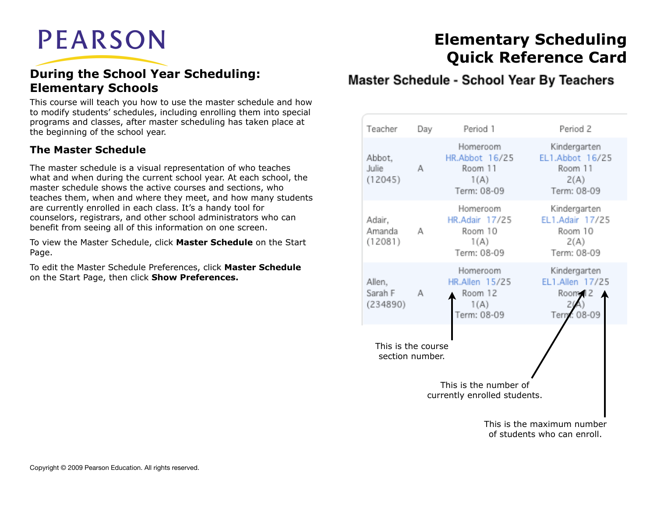# **PEARSON**

### **During the School Year Scheduling: Elementary Schools**

This course will teach you how to use the master schedule and how to modify students' schedules, including enrolling them into special programs and classes, after master scheduling has taken place at the beginning of the school year.

### **The Master Schedule**

The master schedule is a visual representation of who teaches what and when during the current school year. At each school, the master schedule shows the active courses and sections, who teaches them, when and where they meet, and how many students are currently enrolled in each class. It's a handy tool for counselors, registrars, and other school administrators who can benefit from seeing all of this information on one screen.

To view the Master Schedule, click **Master Schedule** on the Start Page.

To edit the Master Schedule Preferences, click **Master Schedule**  on the Start Page, then click **Show Preferences.**

## **Elementary Scheduling Quick Reference Card**

### Master Schedule - School Year By Teachers

| Teacher                                               | Day | Period 1                                                            | Period 2                                                          |  |  |  |  |
|-------------------------------------------------------|-----|---------------------------------------------------------------------|-------------------------------------------------------------------|--|--|--|--|
| Abbot,<br>Julie<br>(12045)                            | А   | Homeroom<br>HR.Abbot 16/25<br>Room 11<br>1(A)<br>Term: 08-09        | Kindergarten<br>EL1.Abbot 16/25<br>Room 11<br>2(A)<br>Term: 08-09 |  |  |  |  |
| Adair,<br>Amanda<br>(12081)                           | А   | Homeroom<br>HR.Adair 17/25<br>Room 10<br>1(A)<br>Term: 08-09        | Kindergarten<br>EL1.Adair 17/25<br>Room 10<br>2(A)<br>Term: 08-09 |  |  |  |  |
| Allen,<br>Sarah F<br>(234890)                         | А   | Homeroom<br><b>HR.Allen 15/25</b><br>Room 12<br>1(A)<br>Term: 08-09 | Kindergarten<br>EL1.Allen 17/25<br>Room 12<br>Term: 08-09         |  |  |  |  |
| This is the course<br>section number.                 |     |                                                                     |                                                                   |  |  |  |  |
| This is the number of<br>currently enrolled students. |     |                                                                     |                                                                   |  |  |  |  |
|                                                       |     |                                                                     | This is the maximum number<br>of students who can enroll.         |  |  |  |  |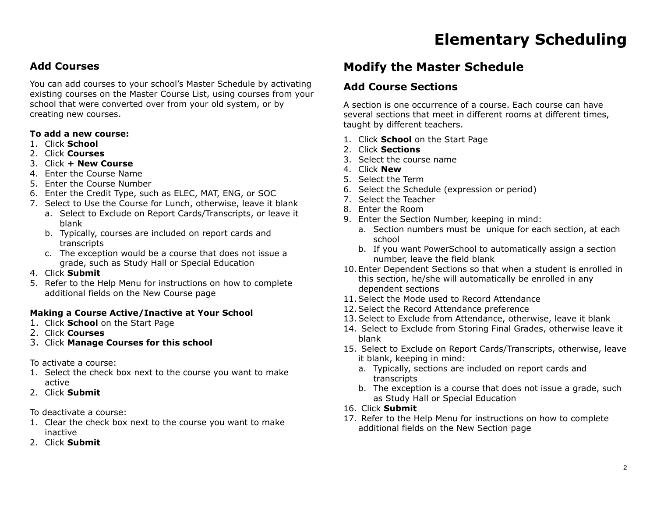### **Add Courses**

You can add courses to your school's Master Schedule by activating existing courses on the Master Course List, using courses from your school that were converted over from your old system, or by creating new courses.

#### **To add a new course:**

- 1. Click **School**
- 2. Click **Courses**
- 3. Click **+ New Course**
- 4. Enter the Course Name
- 5. Enter the Course Number
- 6. Enter the Credit Type, such as ELEC, MAT, ENG, or SOC
- 7. Select to Use the Course for Lunch, otherwise, leave it blank
	- a. Select to Exclude on Report Cards/Transcripts, or leave it blank
	- b. Typically, courses are included on report cards and transcripts
	- c. The exception would be a course that does not issue a grade, such as Study Hall or Special Education

### 4. Click **Submit**

5. Refer to the Help Menu for instructions on how to complete additional fields on the New Course page

### **Making a Course Active/Inactive at Your School**

- 1. Click **School** on the Start Page
- 2. Click **Courses**
- 3. Click **Manage Courses for this school**

### To activate a course:

- 1. Select the check box next to the course you want to make active
- 2. Click **Submit**
- To deactivate a course:
- 1. Clear the check box next to the course you want to make inactive
- 2. Click **Submit**

### **Modify the Master Schedule**

### **Add Course Sections**

A section is one occurrence of a course. Each course can have several sections that meet in different rooms at different times, taught by different teachers.

- 1. Click **School** on the Start Page
- 2. Click **Sections**
- 3. Select the course name
- 4. Click **New**
- 5. Select the Term
- 6. Select the Schedule (expression or period)
- 7. Select the Teacher
- 8. Enter the Room
- 9. Enter the Section Number, keeping in mind:
	- a. Section numbers must be unique for each section, at each school
	- b. If you want PowerSchool to automatically assign a section number, leave the field blank
- 10. Enter Dependent Sections so that when a student is enrolled in this section, he/she will automatically be enrolled in any dependent sections
- 11.Select the Mode used to Record Attendance
- 12.Select the Record Attendance preference
- 13.Select to Exclude from Attendance, otherwise, leave it blank
- 14. Select to Exclude from Storing Final Grades, otherwise leave it blank
- 15. Select to Exclude on Report Cards/Transcripts, otherwise, leave it blank, keeping in mind:
	- a. Typically, sections are included on report cards and transcripts
	- b. The exception is a course that does not issue a grade, such as Study Hall or Special Education
- 16. Click **Submit**
- 17. Refer to the Help Menu for instructions on how to complete additional fields on the New Section page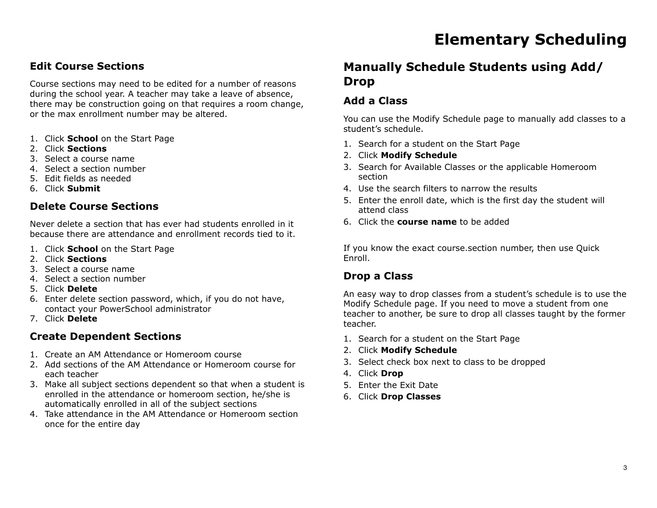### **Edit Course Sections**

Course sections may need to be edited for a number of reasons during the school year. A teacher may take a leave of absence, there may be construction going on that requires a room change, or the max enrollment number may be altered.

- 1. Click **School** on the Start Page
- 2. Click **Sections**
- 3. Select a course name
- 4. Select a section number
- 5. Edit fields as needed
- 6. Click **Submit**

#### **Delete Course Sections**

Never delete a section that has ever had students enrolled in it because there are attendance and enrollment records tied to it.

- 1. Click **School** on the Start Page
- 2. Click **Sections**
- 3. Select a course name
- 4. Select a section number
- 5. Click **Delete**
- 6. Enter delete section password, which, if you do not have, contact your PowerSchool administrator
- 7. Click **Delete**

### **Create Dependent Sections**

- 1. Create an AM Attendance or Homeroom course
- 2. Add sections of the AM Attendance or Homeroom course for each teacher
- 3. Make all subject sections dependent so that when a student is enrolled in the attendance or homeroom section, he/she is automatically enrolled in all of the subject sections
- 4. Take attendance in the AM Attendance or Homeroom section once for the entire day

### **Manually Schedule Students using Add/ Drop**

### **Add a Class**

You can use the Modify Schedule page to manually add classes to a student's schedule.

- 1. Search for a student on the Start Page
- 2. Click **Modify Schedule**
- 3. Search for Available Classes or the applicable Homeroom section
- 4. Use the search filters to narrow the results
- 5. Enter the enroll date, which is the first day the student will attend class
- 6. Click the **course name** to be added

If you know the exact course.section number, then use Quick Enroll.

### **Drop a Class**

An easy way to drop classes from a student's schedule is to use the Modify Schedule page. If you need to move a student from one teacher to another, be sure to drop all classes taught by the former teacher.

- 1. Search for a student on the Start Page
- 2. Click **Modify Schedule**
- 3. Select check box next to class to be dropped
- 4. Click **Drop**
- 5. Enter the Exit Date
- 6. Click **Drop Classes**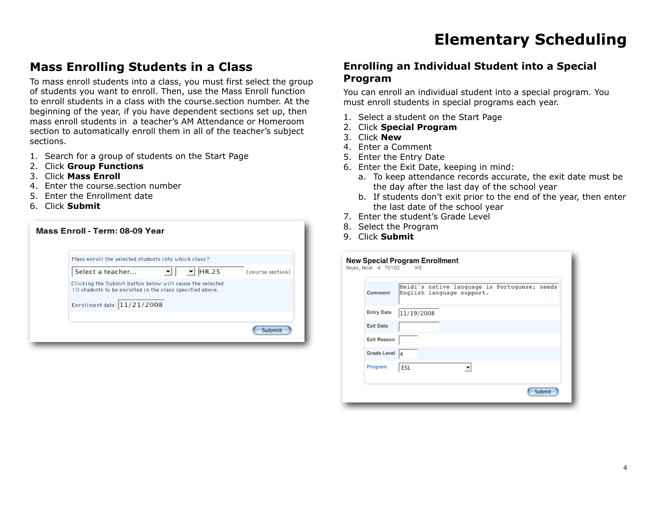### **Mass Enrolling Students in a Class**

To mass enroll students into a class, you must first select the group of students you want to enroll. Then, use the Mass Enroll function to enroll students in a class with the course.section number. At the beginning of the year, if you have dependent sections set up, then mass enroll students in a teacher's AM Attendance or Homeroom section to automatically enroll them in all of the teacher's subject sections.

- 1. Search for a group of students on the Start Page
- 2. Click **Group Functions**
- 3. Click **Mass Enroll**
- 4. Enter the course.section number
- 5. Enter the Enrollment date
- 6. Click **Submit**

| Mass enroll the selected students into which class?                                                                                                 |            |                  |
|-----------------------------------------------------------------------------------------------------------------------------------------------------|------------|------------------|
| Select a teacher                                                                                                                                    | E<br>HR.25 | (course.section) |
| Clicking the Submit button below will cause the selected<br>10 students to be enrolled in the class specified above.<br>Enrollment date: 11/21/2008 |            |                  |
|                                                                                                                                                     |            |                  |

### **Enrolling an Individual Student into a Special Program**

You can enroll an individual student into a special program. You must enroll students in special programs each year.

- 1. Select a student on the Start Page
- 2. Click **Special Program**
- 3. Click **New**
- 4. Enter a Comment
- 5. Enter the Entry Date
- 6. Enter the Exit Date, keeping in mind:
	- a. To keep attendance records accurate, the exit date must be the day after the last day of the school year
	- b. If students don't exit prior to the end of the year, then enter the last date of the school year
- 7. Enter the student's Grade Level
- 8. Select the Program
- 9. Click **Submit**

| Comment            | Heidi's native language is Portuguese; needs<br>English language support. |
|--------------------|---------------------------------------------------------------------------|
| <b>Entry Date</b>  | 11/19/2008                                                                |
| <b>Exit Date</b>   |                                                                           |
| <b>Exit Reason</b> |                                                                           |
| Grade Level 4      |                                                                           |
| Program            | ESL<br>▼                                                                  |
|                    |                                                                           |
|                    | Submit                                                                    |